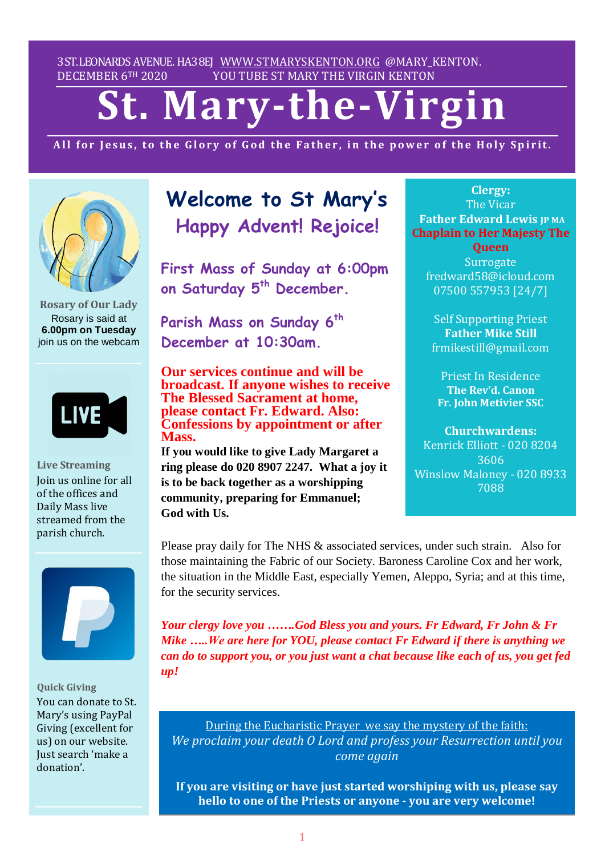3ST.LEONARDS AVENUE. HA38EJ [WWW.STMARYSKENTON.ORG](http://www.stmaryskenton.org/) @MARY\_KENTON. DECEMBER 6TH 2020 YOU TUBE ST MARY THE VIRGIN KENTON

# **St. Mary-the-Virgin**

All for Jesus, to the Glory of God the Father, in the power of the Holy Spirit.



**Rosary of Our Lady** Rosary is said at **6.00pm on Tuesday** join us on the webcam



**Live Streaming** Join us online for all of the offices and Daily Mass live streamed from the parish church.



**Quick Giving** You can donate to St. Mary's using PayPal Giving (excellent for us) on our website. Just search 'make a donation'.

# **Welcome to St Mary's Happy Advent! Rejoice!**

**First Mass of Sunday at 6:00pm on Saturday 5 th December.**

**Parish Mass on Sunday 6 th December at 10:30am.**

**Our services continue and will be broadcast. If anyone wishes to receive The Blessed Sacrament at home, please contact Fr. Edward. Also: Confessions by appointment or after Mass.**

**If you would like to give Lady Margaret a ring please do 020 8907 2247. What a joy it is to be back together as a worshipping community, preparing for Emmanuel; God with Us.**

**Clergy:** The Vicar **Father Edward Lewis JP MA Chaplain to Her Majesty The**

**Queen Surrogate** fredward58@icloud.com 07500 557953 [24/7]

Self Supporting Priest **Father Mike Still** frmikestill@gmail.com

Priest In Residence **The Rev'd. Canon Fr. John Metivier SSC**

**Churchwardens:** Kenrick Elliott - 020 8204 3606 Winslow Maloney - 020 8933 7088

*Please let Fr. Edward know*

Please pray daily for The NHS  $\&$  associated services, under such strain. Also for those maintaining the Fabric of our Society. Baroness Caroline Cox and her work, the situation in the Middle East, especially Yemen, Aleppo, Syria; and at this time, for the security services.

*Your clergy love you …….God Bless you and yours. Fr Edward, Fr John & Fr Mike …..We are here for YOU, please contact Fr Edward if there is anything we can do to support you, or you just want a chat because like each of us, you get fed up!*

During the Eucharistic Prayer we say the mystery of the faith: *We proclaim your death O Lord and profess your Resurrection until you come again*

**If you are visiting or have just started worshiping with us, please say hello to one of the Priests or anyone - you are very welcome!**